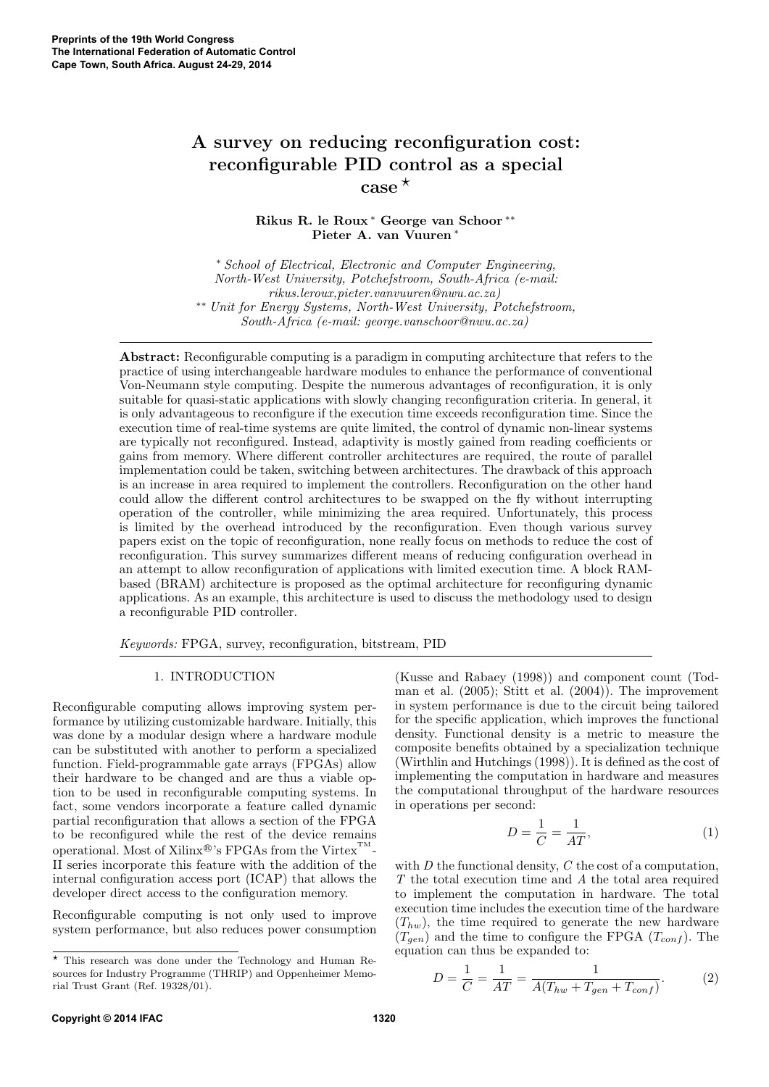# A survey on reducing reconfiguration cost: reconfigurable PID control as a special  $\csc^{\star}$

Rikus R. le Roux <sup>∗</sup> George van Schoor ∗∗ Pieter A. van Vuuren <sup>∗</sup>

<sup>∗</sup> School of Electrical, Electronic and Computer Engineering, North-West University, Potchefstroom, South-Africa (e-mail: rikus.leroux,pieter.vanvuuren@nwu.ac.za) ∗∗ Unit for Energy Systems, North-West University, Potchefstroom, South-Africa (e-mail: george.vanschoor@nwu.ac.za)

Abstract: Reconfigurable computing is a paradigm in computing architecture that refers to the practice of using interchangeable hardware modules to enhance the performance of conventional Von-Neumann style computing. Despite the numerous advantages of reconfiguration, it is only suitable for quasi-static applications with slowly changing reconfiguration criteria. In general, it is only advantageous to reconfigure if the execution time exceeds reconfiguration time. Since the execution time of real-time systems are quite limited, the control of dynamic non-linear systems are typically not reconfigured. Instead, adaptivity is mostly gained from reading coefficients or gains from memory. Where different controller architectures are required, the route of parallel implementation could be taken, switching between architectures. The drawback of this approach is an increase in area required to implement the controllers. Reconfiguration on the other hand could allow the different control architectures to be swapped on the fly without interrupting operation of the controller, while minimizing the area required. Unfortunately, this process is limited by the overhead introduced by the reconfiguration. Even though various survey papers exist on the topic of reconfiguration, none really focus on methods to reduce the cost of reconfiguration. This survey summarizes different means of reducing configuration overhead in an attempt to allow reconfiguration of applications with limited execution time. A block RAMbased (BRAM) architecture is proposed as the optimal architecture for reconfiguring dynamic applications. As an example, this architecture is used to discuss the methodology used to design a reconfigurable PID controller.

Keywords: FPGA, survey, reconfiguration, bitstream, PID

#### 1. INTRODUCTION

Reconfigurable computing allows improving system performance by utilizing customizable hardware. Initially, this was done by a modular design where a hardware module can be substituted with another to perform a specialized function. Field-programmable gate arrays (FPGAs) allow their hardware to be changed and are thus a viable option to be used in reconfigurable computing systems. In fact, some vendors incorporate a feature called dynamic partial reconfiguration that allows a section of the FPGA to be reconfigured while the rest of the device remains operational. Most of Xilinx<sup>®</sup>'s FPGAs from the Virtex<sup>™</sup>-II series incorporate this feature with the addition of the internal configuration access port (ICAP) that allows the developer direct access to the configuration memory.

Reconfigurable computing is not only used to improve system performance, but also reduces power consumption (Kusse and Rabaey (1998)) and component count (Todman et al. (2005); Stitt et al. (2004)). The improvement in system performance is due to the circuit being tailored for the specific application, which improves the functional density. Functional density is a metric to measure the composite benefits obtained by a specialization technique (Wirthlin and Hutchings (1998)). It is defined as the cost of implementing the computation in hardware and measures the computational throughput of the hardware resources in operations per second:

$$
D = \frac{1}{C} = \frac{1}{AT},\tag{1}
$$

with  $D$  the functional density,  $C$  the cost of a computation, T the total execution time and A the total area required to implement the computation in hardware. The total execution time includes the execution time of the hardware  $(T_{hw})$ , the time required to generate the new hardware  $(T_{gen})$  and the time to configure the FPGA  $(T_{conf})$ . The equation can thus be expanded to:

$$
D = \frac{1}{C} = \frac{1}{AT} = \frac{1}{A(T_{hw} + T_{gen} + T_{conf})}.
$$
 (2)

<sup>?</sup> This research was done under the Technology and Human Resources for Industry Programme (THRIP) and Oppenheimer Memorial Trust Grant (Ref. 19328/01).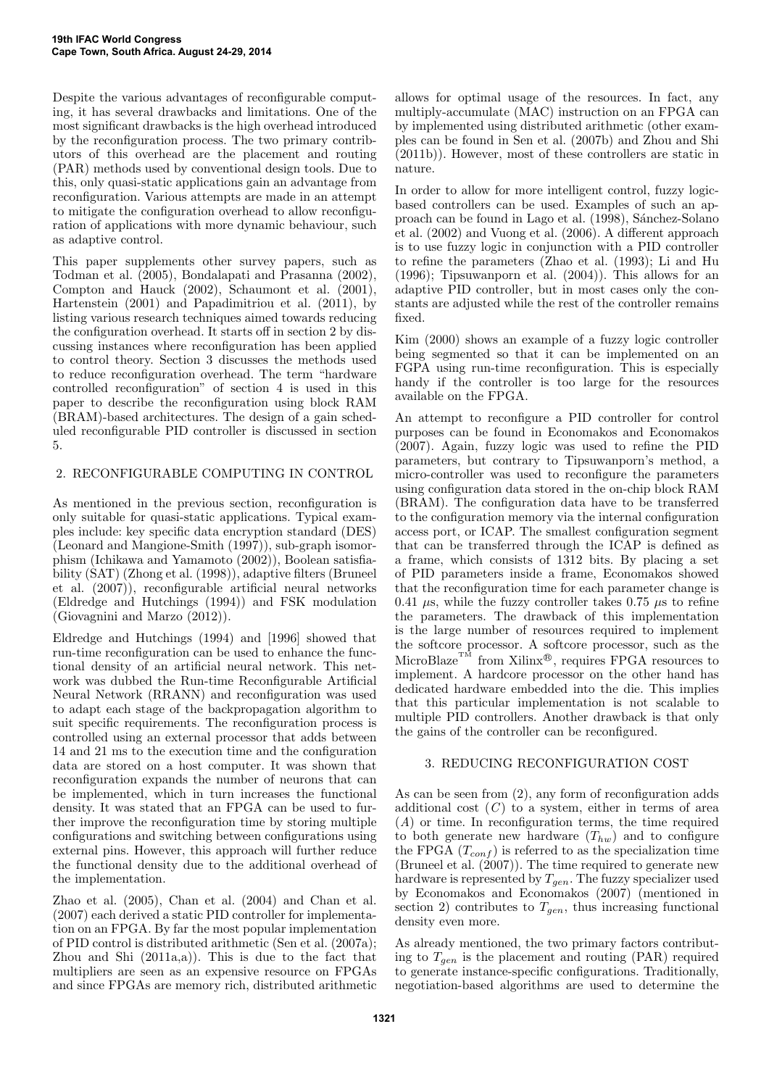Despite the various advantages of reconfigurable computing, it has several drawbacks and limitations. One of the most significant drawbacks is the high overhead introduced by the reconfiguration process. The two primary contributors of this overhead are the placement and routing (PAR) methods used by conventional design tools. Due to this, only quasi-static applications gain an advantage from reconfiguration. Various attempts are made in an attempt to mitigate the configuration overhead to allow reconfiguration of applications with more dynamic behaviour, such as adaptive control.

This paper supplements other survey papers, such as Todman et al. (2005), Bondalapati and Prasanna (2002), Compton and Hauck (2002), Schaumont et al. (2001), Hartenstein (2001) and Papadimitriou et al. (2011), by listing various research techniques aimed towards reducing the configuration overhead. It starts off in section 2 by discussing instances where reconfiguration has been applied to control theory. Section 3 discusses the methods used to reduce reconfiguration overhead. The term "hardware controlled reconfiguration" of section 4 is used in this paper to describe the reconfiguration using block RAM (BRAM)-based architectures. The design of a gain scheduled reconfigurable PID controller is discussed in section 5.

# 2. RECONFIGURABLE COMPUTING IN CONTROL

As mentioned in the previous section, reconfiguration is only suitable for quasi-static applications. Typical examples include: key specific data encryption standard (DES) (Leonard and Mangione-Smith (1997)), sub-graph isomorphism (Ichikawa and Yamamoto (2002)), Boolean satisfiability (SAT) (Zhong et al. (1998)), adaptive filters (Bruneel et al. (2007)), reconfigurable artificial neural networks (Eldredge and Hutchings (1994)) and FSK modulation (Giovagnini and Marzo (2012)).

Eldredge and Hutchings (1994) and [1996] showed that run-time reconfiguration can be used to enhance the functional density of an artificial neural network. This network was dubbed the Run-time Reconfigurable Artificial Neural Network (RRANN) and reconfiguration was used to adapt each stage of the backpropagation algorithm to suit specific requirements. The reconfiguration process is controlled using an external processor that adds between 14 and 21 ms to the execution time and the configuration data are stored on a host computer. It was shown that reconfiguration expands the number of neurons that can be implemented, which in turn increases the functional density. It was stated that an FPGA can be used to further improve the reconfiguration time by storing multiple configurations and switching between configurations using external pins. However, this approach will further reduce the functional density due to the additional overhead of the implementation.

Zhao et al. (2005), Chan et al. (2004) and Chan et al. (2007) each derived a static PID controller for implementation on an FPGA. By far the most popular implementation of PID control is distributed arithmetic (Sen et al. (2007a); Zhou and Shi (2011a,a)). This is due to the fact that multipliers are seen as an expensive resource on FPGAs and since FPGAs are memory rich, distributed arithmetic

allows for optimal usage of the resources. In fact, any multiply-accumulate (MAC) instruction on an FPGA can by implemented using distributed arithmetic (other examples can be found in Sen et al. (2007b) and Zhou and Shi (2011b)). However, most of these controllers are static in nature.

In order to allow for more intelligent control, fuzzy logicbased controllers can be used. Examples of such an approach can be found in Lago et al. (1998), Sánchez-Solano et al. (2002) and Vuong et al. (2006). A different approach is to use fuzzy logic in conjunction with a PID controller to refine the parameters (Zhao et al. (1993); Li and Hu (1996); Tipsuwanporn et al. (2004)). This allows for an adaptive PID controller, but in most cases only the constants are adjusted while the rest of the controller remains fixed.

Kim (2000) shows an example of a fuzzy logic controller being segmented so that it can be implemented on an FGPA using run-time reconfiguration. This is especially handy if the controller is too large for the resources available on the FPGA.

An attempt to reconfigure a PID controller for control purposes can be found in Economakos and Economakos (2007). Again, fuzzy logic was used to refine the PID parameters, but contrary to Tipsuwanporn's method, a micro-controller was used to reconfigure the parameters using configuration data stored in the on-chip block RAM (BRAM). The configuration data have to be transferred to the configuration memory via the internal configuration access port, or ICAP. The smallest configuration segment that can be transferred through the ICAP is defined as a frame, which consists of 1312 bits. By placing a set of PID parameters inside a frame, Economakos showed that the reconfiguration time for each parameter change is 0.41  $\mu$ s, while the fuzzy controller takes 0.75  $\mu$ s to refine the parameters. The drawback of this implementation is the large number of resources required to implement the softcore processor. A softcore processor, such as the MicroBlaze<sup>TM</sup> from Xilinx<sup>®</sup>, requires FPGA resources to implement. A hardcore processor on the other hand has dedicated hardware embedded into the die. This implies that this particular implementation is not scalable to multiple PID controllers. Another drawback is that only the gains of the controller can be reconfigured.

# 3. REDUCING RECONFIGURATION COST

As can be seen from (2), any form of reconfiguration adds additional cost  $(C)$  to a system, either in terms of area (A) or time. In reconfiguration terms, the time required to both generate new hardware  $(T_{hw})$  and to configure the FPGA  $(T_{conf})$  is referred to as the specialization time (Bruneel et al. (2007)). The time required to generate new hardware is represented by  $T_{gen}$ . The fuzzy specializer used by Economakos and Economakos (2007) (mentioned in section 2) contributes to  $T_{gen}$ , thus increasing functional density even more.

As already mentioned, the two primary factors contributing to  $T_{gen}$  is the placement and routing (PAR) required to generate instance-specific configurations. Traditionally, negotiation-based algorithms are used to determine the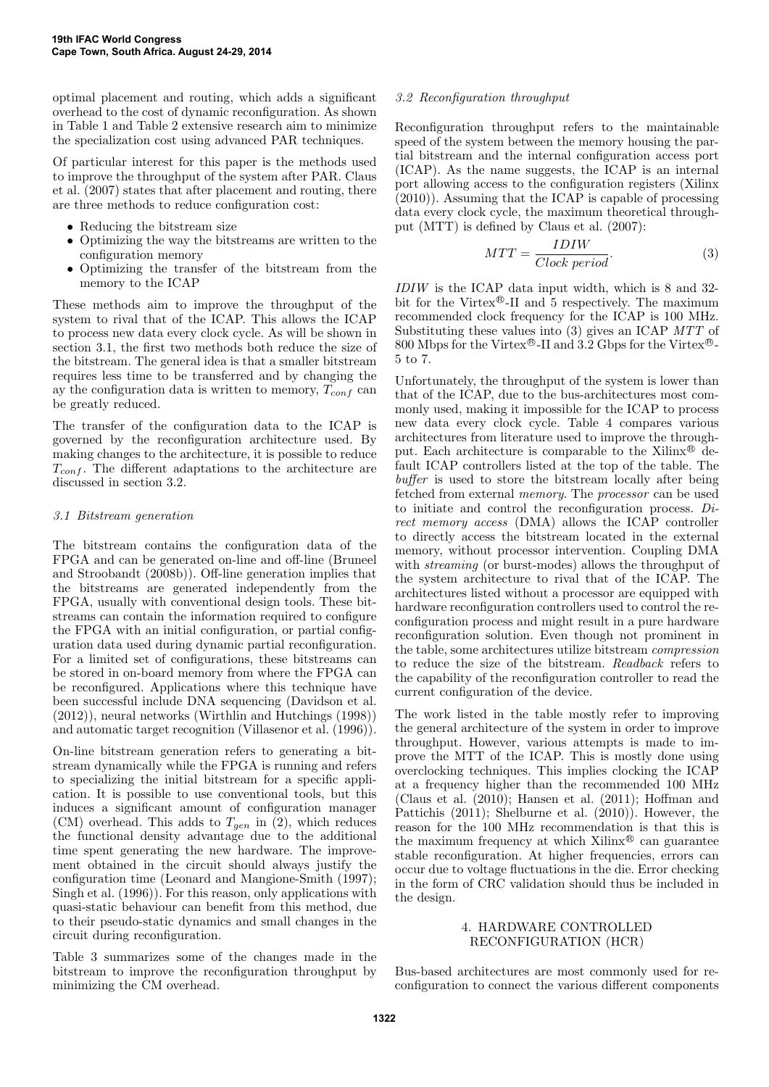optimal placement and routing, which adds a significant overhead to the cost of dynamic reconfiguration. As shown in Table 1 and Table 2 extensive research aim to minimize the specialization cost using advanced PAR techniques.

Of particular interest for this paper is the methods used to improve the throughput of the system after PAR. Claus et al. (2007) states that after placement and routing, there are three methods to reduce configuration cost:

- Reducing the bitstream size
- Optimizing the way the bitstreams are written to the configuration memory
- Optimizing the transfer of the bitstream from the memory to the ICAP

These methods aim to improve the throughput of the system to rival that of the ICAP. This allows the ICAP to process new data every clock cycle. As will be shown in section 3.1, the first two methods both reduce the size of the bitstream. The general idea is that a smaller bitstream requires less time to be transferred and by changing the ay the configuration data is written to memory,  $T_{conf}$  can be greatly reduced.

The transfer of the configuration data to the ICAP is governed by the reconfiguration architecture used. By making changes to the architecture, it is possible to reduce  $T_{conf}$ . The different adaptations to the architecture are discussed in section 3.2.

#### 3.1 Bitstream generation

The bitstream contains the configuration data of the FPGA and can be generated on-line and off-line (Bruneel and Stroobandt (2008b)). Off-line generation implies that the bitstreams are generated independently from the FPGA, usually with conventional design tools. These bitstreams can contain the information required to configure the FPGA with an initial configuration, or partial configuration data used during dynamic partial reconfiguration. For a limited set of configurations, these bitstreams can be stored in on-board memory from where the FPGA can be reconfigured. Applications where this technique have been successful include DNA sequencing (Davidson et al. (2012)), neural networks (Wirthlin and Hutchings (1998)) and automatic target recognition (Villasenor et al. (1996)).

On-line bitstream generation refers to generating a bitstream dynamically while the FPGA is running and refers to specializing the initial bitstream for a specific application. It is possible to use conventional tools, but this induces a significant amount of configuration manager (CM) overhead. This adds to  $T_{gen}$  in (2), which reduces the functional density advantage due to the additional time spent generating the new hardware. The improvement obtained in the circuit should always justify the configuration time (Leonard and Mangione-Smith (1997); Singh et al. (1996)). For this reason, only applications with quasi-static behaviour can benefit from this method, due to their pseudo-static dynamics and small changes in the circuit during reconfiguration.

Table 3 summarizes some of the changes made in the bitstream to improve the reconfiguration throughput by minimizing the CM overhead.

## 3.2 Reconfiguration throughput

Reconfiguration throughput refers to the maintainable speed of the system between the memory housing the partial bitstream and the internal configuration access port (ICAP). As the name suggests, the ICAP is an internal port allowing access to the configuration registers (Xilinx (2010)). Assuming that the ICAP is capable of processing data every clock cycle, the maximum theoretical throughput (MTT) is defined by Claus et al. (2007):

$$
MTT = \frac{IDIW}{Clock\ period}.\tag{3}
$$

IDIW is the ICAP data input width, which is 8 and 32 bit for the Virtex®-II and 5 respectively. The maximum recommended clock frequency for the ICAP is 100 MHz. Substituting these values into (3) gives an ICAP MTT of 800 Mbps for the Virtex<sup>®</sup>-II and 3.2 Gbps for the Virtex<sup>®</sup>-5 to 7.

Unfortunately, the throughput of the system is lower than that of the ICAP, due to the bus-architectures most commonly used, making it impossible for the ICAP to process new data every clock cycle. Table 4 compares various architectures from literature used to improve the throughput. Each architecture is comparable to the Xilinx<sup>®</sup> default ICAP controllers listed at the top of the table. The buffer is used to store the bitstream locally after being fetched from external memory. The processor can be used to initiate and control the reconfiguration process. Direct memory access (DMA) allows the ICAP controller to directly access the bitstream located in the external memory, without processor intervention. Coupling DMA with *streaming* (or burst-modes) allows the throughput of the system architecture to rival that of the ICAP. The architectures listed without a processor are equipped with hardware reconfiguration controllers used to control the reconfiguration process and might result in a pure hardware reconfiguration solution. Even though not prominent in the table, some architectures utilize bitstream compression to reduce the size of the bitstream. Readback refers to the capability of the reconfiguration controller to read the current configuration of the device.

The work listed in the table mostly refer to improving the general architecture of the system in order to improve throughput. However, various attempts is made to improve the MTT of the ICAP. This is mostly done using overclocking techniques. This implies clocking the ICAP at a frequency higher than the recommended 100 MHz (Claus et al. (2010); Hansen et al. (2011); Hoffman and Pattichis (2011); Shelburne et al. (2010)). However, the reason for the 100 MHz recommendation is that this is the maximum frequency at which  $\text{Xilinx}^{\oplus}$  can guarantee stable reconfiguration. At higher frequencies, errors can occur due to voltage fluctuations in the die. Error checking in the form of CRC validation should thus be included in the design.

#### 4. HARDWARE CONTROLLED RECONFIGURATION (HCR)

Bus-based architectures are most commonly used for reconfiguration to connect the various different components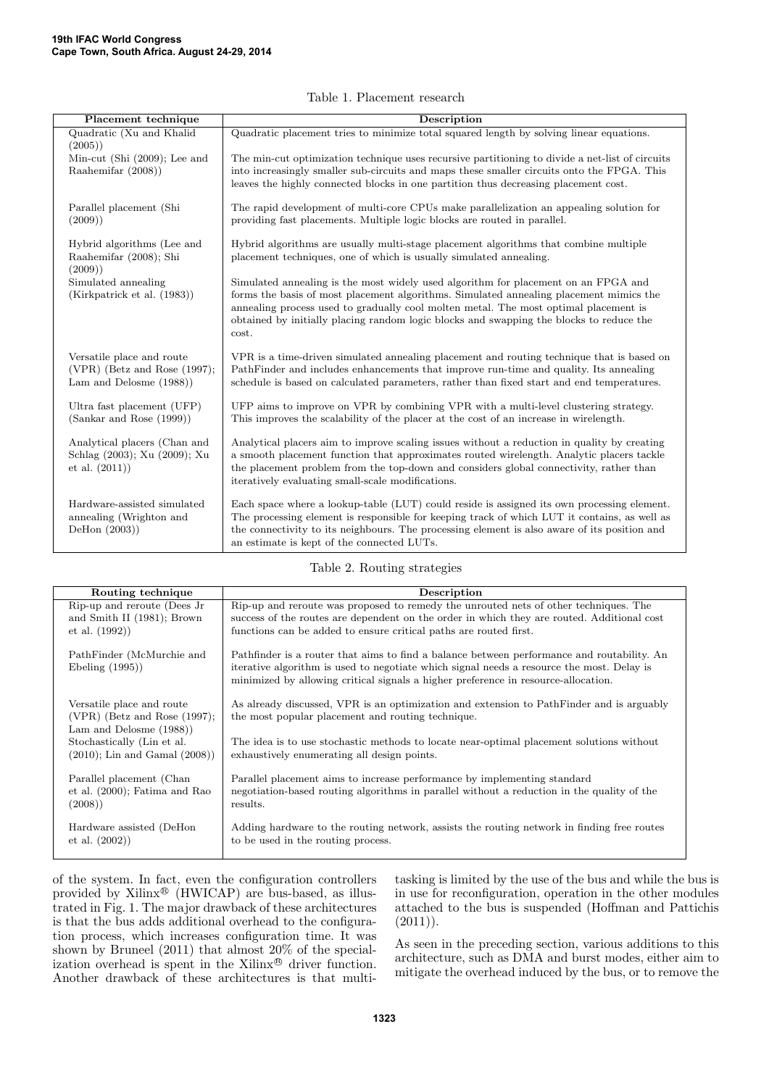| Placement technique                                                                        | Description                                                                                                                                                                                                                                                                                                                                                              |
|--------------------------------------------------------------------------------------------|--------------------------------------------------------------------------------------------------------------------------------------------------------------------------------------------------------------------------------------------------------------------------------------------------------------------------------------------------------------------------|
| Quadratic (Xu and Khalid<br>(2005)                                                         | Quadratic placement tries to minimize total squared length by solving linear equations.                                                                                                                                                                                                                                                                                  |
| Min-cut (Shi (2009); Lee and                                                               | The min-cut optimization technique uses recursive partitioning to divide a net-list of circuits                                                                                                                                                                                                                                                                          |
| Raahemifar (2008))                                                                         | into increasingly smaller sub-circuits and maps these smaller circuits onto the FPGA. This<br>leaves the highly connected blocks in one partition thus decreasing placement cost.                                                                                                                                                                                        |
| Parallel placement (Shi<br>(2009)                                                          | The rapid development of multi-core CPUs make parallelization an appealing solution for<br>providing fast placements. Multiple logic blocks are routed in parallel.                                                                                                                                                                                                      |
| Hybrid algorithms (Lee and<br>Raahemifar (2008); Shi<br>(2009)                             | Hybrid algorithms are usually multi-stage placement algorithms that combine multiple<br>placement techniques, one of which is usually simulated annealing.                                                                                                                                                                                                               |
| Simulated annealing<br>(Kirkpatrick et al. (1983))                                         | Simulated annealing is the most widely used algorithm for placement on an FPGA and<br>forms the basis of most placement algorithms. Simulated annealing placement mimics the<br>annealing process used to gradually cool molten metal. The most optimal placement is<br>obtained by initially placing random logic blocks and swapping the blocks to reduce the<br>cost. |
| Versatile place and route<br>$(VPR)$ (Betz and Rose $(1997)$ ;<br>Lam and Delosme $(1988)$ | VPR is a time-driven simulated annealing placement and routing technique that is based on<br>PathFinder and includes enhancements that improve run-time and quality. Its annealing<br>schedule is based on calculated parameters, rather than fixed start and end temperatures.                                                                                          |
| Ultra fast placement (UFP)<br>(Sankar and Rose (1999))                                     | UFP aims to improve on VPR by combining VPR with a multi-level clustering strategy.<br>This improves the scalability of the placer at the cost of an increase in wirelength.                                                                                                                                                                                             |
| Analytical placers (Chan and<br>Schlag (2003); Xu (2009); Xu<br>et al. $(2011)$            | Analytical placers aim to improve scaling issues without a reduction in quality by creating<br>a smooth placement function that approximates routed wirelength. Analytic placers tackle<br>the placement problem from the top-down and considers global connectivity, rather than<br>iteratively evaluating small-scale modifications.                                   |
| Hardware-assisted simulated<br>annealing (Wrighton and<br>DeHon $(2003)$                   | Each space where a lookup-table (LUT) could reside is assigned its own processing element.<br>The processing element is responsible for keeping track of which LUT it contains, as well as<br>the connectivity to its neighbours. The processing element is also aware of its position and<br>an estimate is kept of the connected LUTs.                                 |

#### Table 1. Placement research

#### Table 2. Routing strategies

| Routing technique                                                                          | Description                                                                                                                                                                                                                                                                   |
|--------------------------------------------------------------------------------------------|-------------------------------------------------------------------------------------------------------------------------------------------------------------------------------------------------------------------------------------------------------------------------------|
| Rip-up and reroute (Dees Jr.                                                               | Rip-up and reroute was proposed to remedy the unrouted nets of other techniques. The                                                                                                                                                                                          |
| and Smith II (1981); Brown<br>et al. (1992)                                                | success of the routes are dependent on the order in which they are routed. Additional cost<br>functions can be added to ensure critical paths are routed first.                                                                                                               |
| PathFinder (McMurchie and<br>Ebeling (1995))                                               | Pathfinder is a router that aims to find a balance between performance and routability. An<br>iterative algorithm is used to negotiate which signal needs a resource the most. Delay is<br>minimized by allowing critical signals a higher preference in resource-allocation. |
| Versatile place and route<br>$(VPR)$ (Betz and Rose $(1997)$ ;<br>Lam and Delosme $(1988)$ | As already discussed, VPR is an optimization and extension to PathFinder and is arguably<br>the most popular placement and routing technique.                                                                                                                                 |
| Stochastically (Lin et al.<br>$(2010)$ ; Lin and Gamal $(2008)$ )                          | The idea is to use stochastic methods to locate near-optimal placement solutions without<br>exhaustively enumerating all design points.                                                                                                                                       |
| Parallel placement (Chan<br>et al. $(2000)$ ; Fatima and Rao<br>(2008)                     | Parallel placement aims to increase performance by implementing standard<br>negotiation-based routing algorithms in parallel without a reduction in the quality of the<br>results.                                                                                            |
| Hardware assisted (DeHon<br>et al. $(2002)$                                                | Adding hardware to the routing network, assists the routing network in finding free routes<br>to be used in the routing process.                                                                                                                                              |

of the system. In fact, even the configuration controllers provided by Xilinx <sup>R</sup> (HWICAP) are bus-based, as illustrated in Fig. 1. The major drawback of these architectures is that the bus adds additional overhead to the configuration process, which increases configuration time. It was shown by Bruneel (2011) that almost 20% of the specialization overhead is spent in the Xilinx<sup>®</sup> driver function. Another drawback of these architectures is that multitasking is limited by the use of the bus and while the bus is in use for reconfiguration, operation in the other modules attached to the bus is suspended (Hoffman and Pattichis  $(2011)$ .

As seen in the preceding section, various additions to this architecture, such as DMA and burst modes, either aim to mitigate the overhead induced by the bus, or to remove the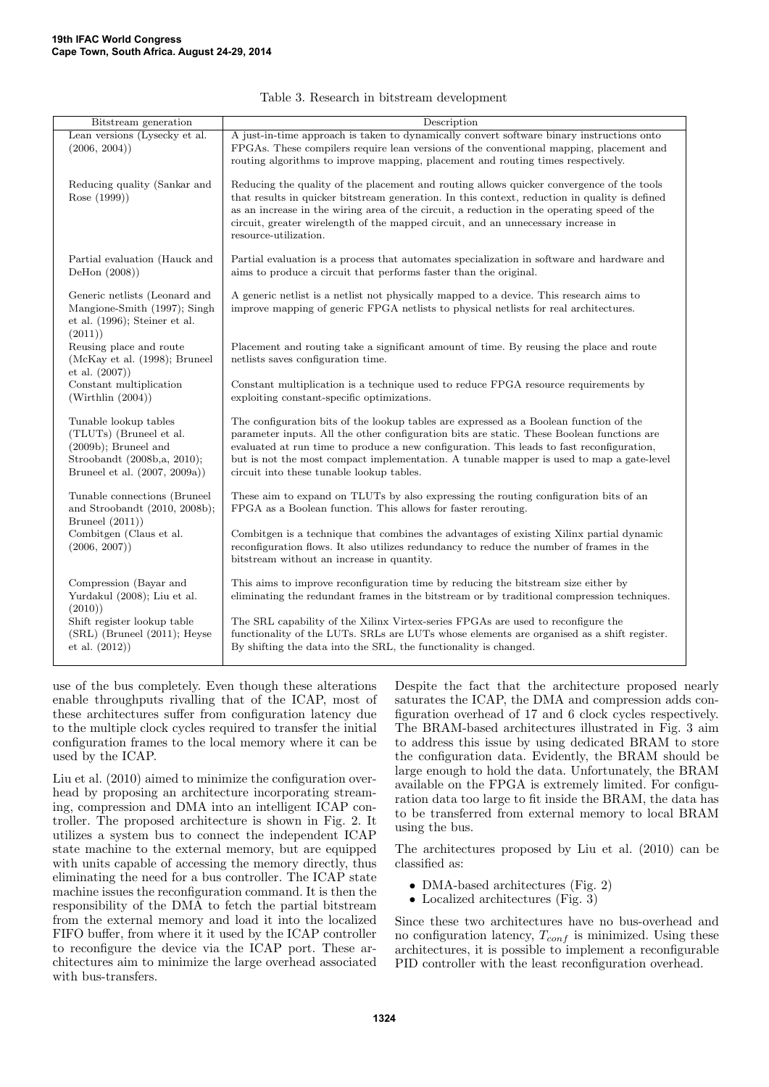| Bitstream generation                                                                                                                        | Description                                                                                                                                                                                                                                                                                                                                                                                                                |
|---------------------------------------------------------------------------------------------------------------------------------------------|----------------------------------------------------------------------------------------------------------------------------------------------------------------------------------------------------------------------------------------------------------------------------------------------------------------------------------------------------------------------------------------------------------------------------|
| Lean versions (Lysecky et al.<br>(2006, 2004))                                                                                              | A just-in-time approach is taken to dynamically convert software binary instructions onto<br>FPGAs. These compilers require lean versions of the conventional mapping, placement and<br>routing algorithms to improve mapping, placement and routing times respectively.                                                                                                                                                   |
| Reducing quality (Sankar and<br>Rose (1999))                                                                                                | Reducing the quality of the placement and routing allows quicker convergence of the tools<br>that results in quicker bitstream generation. In this context, reduction in quality is defined<br>as an increase in the wiring area of the circuit, a reduction in the operating speed of the<br>circuit, greater wirelength of the mapped circuit, and an unnecessary increase in<br>resource-utilization.                   |
| Partial evaluation (Hauck and<br>DeHon $(2008)$                                                                                             | Partial evaluation is a process that automates specialization in software and hardware and<br>aims to produce a circuit that performs faster than the original.                                                                                                                                                                                                                                                            |
| Generic netlists (Leonard and<br>Mangione-Smith (1997); Singh<br>et al. $(1996)$ ; Steiner et al.<br>(2011)                                 | A generic netlist is a netlist not physically mapped to a device. This research aims to<br>improve mapping of generic FPGA netlists to physical netlists for real architectures.                                                                                                                                                                                                                                           |
| Reusing place and route<br>(McKay et al. (1998); Bruneel<br>et al. (2007))                                                                  | Placement and routing take a significant amount of time. By reusing the place and route<br>netlists saves configuration time.                                                                                                                                                                                                                                                                                              |
| Constant multiplication<br>(Wirthlin (2004))                                                                                                | Constant multiplication is a technique used to reduce FPGA resource requirements by<br>exploiting constant-specific optimizations.                                                                                                                                                                                                                                                                                         |
| Tunable lookup tables<br>(TLUTs) (Bruneel et al.<br>$(2009b)$ ; Bruneel and<br>Stroobandt (2008b,a, 2010);<br>Bruneel et al. (2007, 2009a)) | The configuration bits of the lookup tables are expressed as a Boolean function of the<br>parameter inputs. All the other configuration bits are static. These Boolean functions are<br>evaluated at run time to produce a new configuration. This leads to fast reconfiguration,<br>but is not the most compact implementation. A tunable mapper is used to map a gate-level<br>circuit into these tunable lookup tables. |
| Tunable connections (Bruneel<br>and Stroobandt (2010, 2008b);<br>Bruneel $(2011)$                                                           | These aim to expand on TLUTs by also expressing the routing configuration bits of an<br>FPGA as a Boolean function. This allows for faster rerouting.                                                                                                                                                                                                                                                                      |
| Combitgen (Claus et al.<br>(2006, 2007))                                                                                                    | Combitgen is a technique that combines the advantages of existing Xilinx partial dynamic<br>reconfiguration flows. It also utilizes redundancy to reduce the number of frames in the<br>bitstream without an increase in quantity.                                                                                                                                                                                         |
| Compression (Bayar and<br>Yurdakul (2008); Liu et al.<br>(2010)                                                                             | This aims to improve reconfiguration time by reducing the bitstream size either by<br>eliminating the redundant frames in the bitstream or by traditional compression techniques.                                                                                                                                                                                                                                          |
| Shift register lookup table<br>(SRL) (Bruneel (2011); Heyse<br>et al. $(2012)$                                                              | The SRL capability of the Xilinx Virtex-series FPGAs are used to reconfigure the<br>functionality of the LUTs. SRLs are LUTs whose elements are organised as a shift register.<br>By shifting the data into the SRL, the functionality is changed.                                                                                                                                                                         |

#### Table 3. Research in bitstream development

use of the bus completely. Even though these alterations enable throughputs rivalling that of the ICAP, most of these architectures suffer from configuration latency due to the multiple clock cycles required to transfer the initial configuration frames to the local memory where it can be used by the ICAP.

Liu et al. (2010) aimed to minimize the configuration overhead by proposing an architecture incorporating streaming, compression and DMA into an intelligent ICAP controller. The proposed architecture is shown in Fig. 2. It utilizes a system bus to connect the independent ICAP state machine to the external memory, but are equipped with units capable of accessing the memory directly, thus eliminating the need for a bus controller. The ICAP state machine issues the reconfiguration command. It is then the responsibility of the DMA to fetch the partial bitstream from the external memory and load it into the localized FIFO buffer, from where it it used by the ICAP controller to reconfigure the device via the ICAP port. These architectures aim to minimize the large overhead associated with bus-transfers.

Despite the fact that the architecture proposed nearly saturates the ICAP, the DMA and compression adds configuration overhead of 17 and 6 clock cycles respectively. The BRAM-based architectures illustrated in Fig. 3 aim to address this issue by using dedicated BRAM to store the configuration data. Evidently, the BRAM should be large enough to hold the data. Unfortunately, the BRAM available on the FPGA is extremely limited. For configuration data too large to fit inside the BRAM, the data has to be transferred from external memory to local BRAM using the bus.

The architectures proposed by Liu et al. (2010) can be classified as:

- DMA-based architectures (Fig. 2)
- Localized architectures (Fig. 3)

Since these two architectures have no bus-overhead and no configuration latency,  $T_{conf}$  is minimized. Using these architectures, it is possible to implement a reconfigurable PID controller with the least reconfiguration overhead.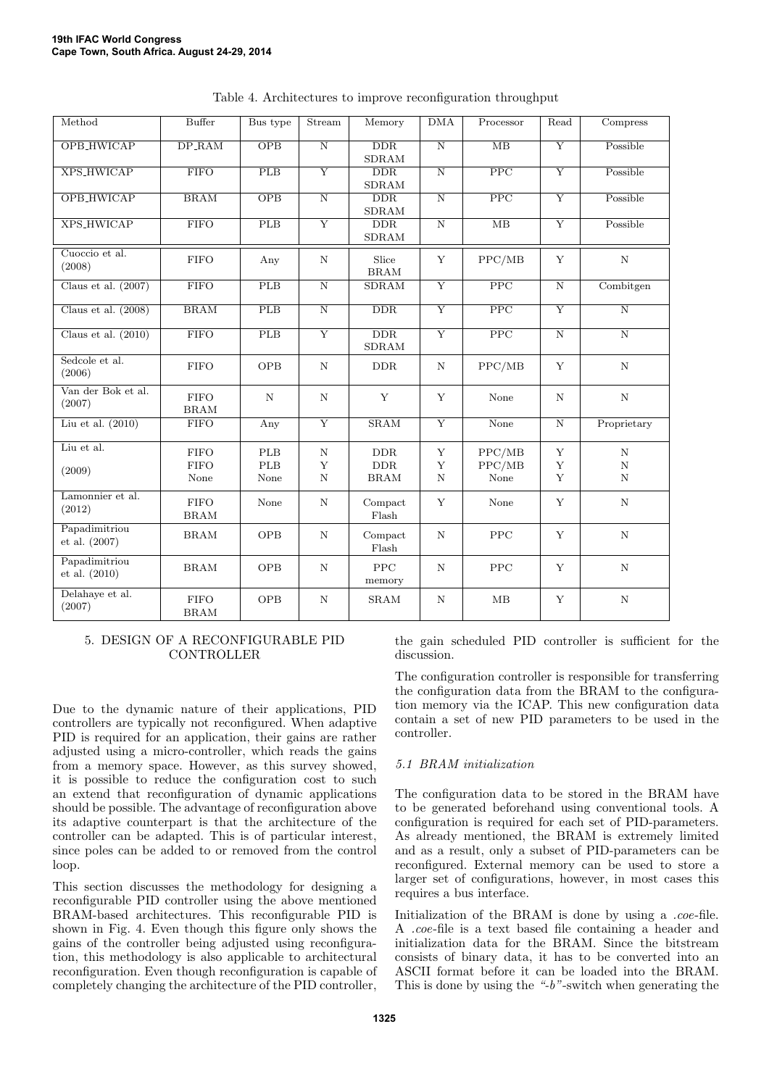| Method                         | <b>Buffer</b>               | Bus type            | Stream                     | Memory                                 | DMA                   | Processor               | Read                    | Compress              |
|--------------------------------|-----------------------------|---------------------|----------------------------|----------------------------------------|-----------------------|-------------------------|-------------------------|-----------------------|
| OPB_HWICAP                     | $DP$ <sub>-RAM</sub>        | <b>OPB</b>          | $\overline{N}$             | <b>DDR</b><br>SDRAM                    | $\overline{N}$        | MB                      | Y                       | Possible              |
| XPS_HWICAP                     | <b>FIFO</b>                 | PLB                 | $\overline{Y}$             | $\overline{\rm{DDR}}$<br><b>SDRAM</b>  | $\overline{N}$        | $\overline{PPC}$        | $\overline{Y}$          | Possible              |
| OPB_HWICAP                     | BRAM                        | $\overline{OPB}$    | $\overline{\text{N}}$      | $\overline{\rm{DDR}}$<br><b>SDRAM</b>  | $\overline{\text{N}}$ | $\overline{PPC}$        | $\overline{Y}$          | Possible              |
| <b>XPS_HWICAP</b>              | <b>FIFO</b>                 | PLB                 | $\overline{Y}$             | $\overline{\rm{DDR}}$<br><b>SDRAM</b>  | $\overline{\text{N}}$ | $\overline{MB}$         | $\overline{Y}$          | Possible              |
| Cuoccio et al.<br>(2008)       | ${\rm FIFO}$                | Any                 | $\mathbf N$                | Slice<br><b>BRAM</b>                   | Y                     | PPC/MB                  | Y                       | $\mathbf N$           |
| Claus et al. $(2007)$          | <b>FIFO</b>                 | PLB                 | $\overline{\text{N}}$      | <b>SDRAM</b>                           | $\overline{Y}$        | $\overline{\text{PPC}}$ | $\overline{\text{N}}$   | Combitgen             |
| Claus et al. $(2008)$          | BRAM                        | PLB                 | $\overline{\text{N}}$      | $\overline{\rm{DDR}}$                  | $\overline{Y}$        | $\overline{PPC}$        | $\overline{\mathrm{Y}}$ | $\overline{\rm N}$    |
| Claus et al. $(2010)$          | <b>FIFO</b>                 | PLB                 | $\overline{Y}$             | $\overline{\rm{DDR}}$<br>${\rm SDRAM}$ | $\overline{\rm Y}$    | $\overline{PPC}$        | $\overline{\text{N}}$   | $\overline{\text{N}}$ |
| Sedcole et al.<br>(2006)       | <b>FIFO</b>                 | <b>OPB</b>          | $\mathbf N$                | <b>DDR</b>                             | $\mathbf N$           | PPC/MB                  | Y                       | $\mathbf N$           |
| Van der Bok et al.<br>(2007)   | ${\rm FIFO}$<br><b>BRAM</b> | $\rm N$             | $\mathbf N$                | $\mathbf Y$                            | Y                     | None                    | $\mathbf N$             | $\mathbf N$           |
| Liu et al. $(2010)$            | <b>FIFO</b>                 | Any                 | $\overline{Y}$             | SRAM                                   | $\overline{Y}$        | None                    | $\overline{\text{N}}$   | Proprietary           |
| Liu et al.                     | <b>FIFO</b>                 | PLB                 | $\mathbf N$                | <b>DDR</b>                             | Y                     | PPC/MB                  | Y                       | $_{\rm N}$            |
| (2009)                         | <b>FIFO</b><br>None         | ${\rm PLB}$<br>None | $\mathbf Y$<br>$\mathbf N$ | ${\rm DDR}$<br><b>BRAM</b>             | Y<br>$\mathbf N$      | PPC/MB<br>None          | $\mathbf Y$<br>Y        | $\mathbf N$<br>N      |
| Lamonnier et al.<br>(2012)     | <b>FIFO</b><br><b>BRAM</b>  | None                | N                          | Compact<br>$_{\rm Flash}$              | Y                     | None                    | Y                       | N                     |
| Papadimitriou<br>et al. (2007) | <b>BRAM</b>                 | <b>OPB</b>          | N                          | Compact<br>Flash                       | $\mathbf N$           | PPC                     | Y                       | $\mathbf N$           |
| Papadimitriou<br>et al. (2010) | <b>BRAM</b>                 | <b>OPB</b>          | N                          | <b>PPC</b><br>memory                   | N                     | PPC                     | Y                       | N                     |
| Delahaye et al.<br>(2007)      | <b>FIFO</b><br><b>BRAM</b>  | <b>OPB</b>          | $\mathbf N$                | <b>SRAM</b>                            | $\mathbf N$           | MB                      | Y                       | $\mathbf N$           |

Table 4. Architectures to improve reconfiguration throughput

#### 5. DESIGN OF A RECONFIGURABLE PID CONTROLLER

Due to the dynamic nature of their applications, PID controllers are typically not reconfigured. When adaptive PID is required for an application, their gains are rather adjusted using a micro-controller, which reads the gains from a memory space. However, as this survey showed, it is possible to reduce the configuration cost to such an extend that reconfiguration of dynamic applications should be possible. The advantage of reconfiguration above its adaptive counterpart is that the architecture of the controller can be adapted. This is of particular interest, since poles can be added to or removed from the control loop.

This section discusses the methodology for designing a reconfigurable PID controller using the above mentioned BRAM-based architectures. This reconfigurable PID is shown in Fig. 4. Even though this figure only shows the gains of the controller being adjusted using reconfiguration, this methodology is also applicable to architectural reconfiguration. Even though reconfiguration is capable of completely changing the architecture of the PID controller,

the gain scheduled PID controller is sufficient for the discussion.

The configuration controller is responsible for transferring the configuration data from the BRAM to the configuration memory via the ICAP. This new configuration data contain a set of new PID parameters to be used in the controller.

# 5.1 BRAM initialization

The configuration data to be stored in the BRAM have to be generated beforehand using conventional tools. A configuration is required for each set of PID-parameters. As already mentioned, the BRAM is extremely limited and as a result, only a subset of PID-parameters can be reconfigured. External memory can be used to store a larger set of configurations, however, in most cases this requires a bus interface.

Initialization of the BRAM is done by using a .coe-file. A .coe-file is a text based file containing a header and initialization data for the BRAM. Since the bitstream consists of binary data, it has to be converted into an ASCII format before it can be loaded into the BRAM. This is done by using the "- $b$ "-switch when generating the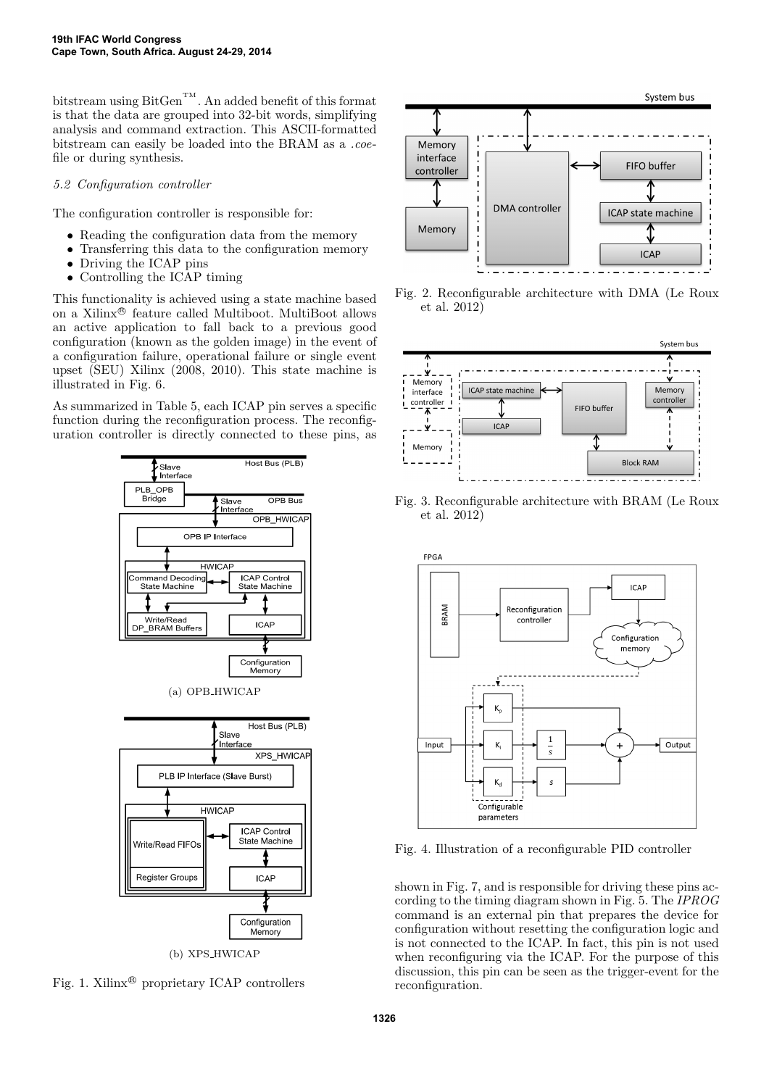bitstream using  $BitGen^{TM}$ . An added benefit of this format is that the data are grouped into 32-bit words, simplifying analysis and command extraction. This ASCII-formatted bitstream can easily be loaded into the BRAM as a .coefile or during synthesis.

## 5.2 Configuration controller

The configuration controller is responsible for:

- Reading the configuration data from the memory
- Transferring this data to the configuration memory
- Driving the ICAP pins
- Controlling the ICAP timing

This functionality is achieved using a state machine based on a Xilinx <sup>R</sup> feature called Multiboot. MultiBoot allows an active application to fall back to a previous good configuration (known as the golden image) in the event of a configuration failure, operational failure or single event upset (SEU) Xilinx (2008, 2010). This state machine is illustrated in Fig. 6.

As summarized in Table 5, each ICAP pin serves a specific function during the reconfiguration process. The reconfiguration controller is directly connected to these pins, as



Fig. 1. Xilinx<sup>®</sup> proprietary ICAP controllers



Fig. 2. Reconfigurable architecture with DMA (Le Roux et al. 2012)



Fig. 3. Reconfigurable architecture with BRAM (Le Roux et al. 2012)



Fig. 4. Illustration of a reconfigurable PID controller

shown in Fig. 7, and is responsible for driving these pins according to the timing diagram shown in Fig. 5. The IPROG command is an external pin that prepares the device for configuration without resetting the configuration logic and is not connected to the ICAP. In fact, this pin is not used when reconfiguring via the ICAP. For the purpose of this discussion, this pin can be seen as the trigger-event for the reconfiguration.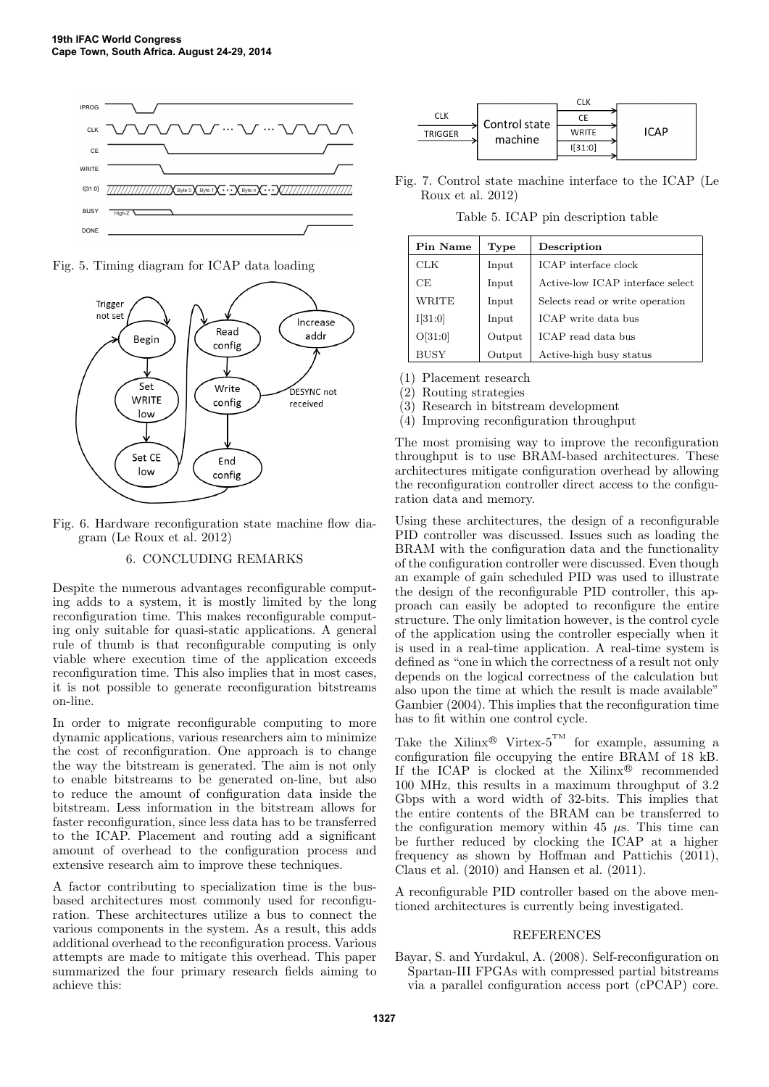

Fig. 5. Timing diagram for ICAP data loading



Fig. 6. Hardware reconfiguration state machine flow diagram (Le Roux et al. 2012)

# 6. CONCLUDING REMARKS

Despite the numerous advantages reconfigurable computing adds to a system, it is mostly limited by the long reconfiguration time. This makes reconfigurable computing only suitable for quasi-static applications. A general rule of thumb is that reconfigurable computing is only viable where execution time of the application exceeds reconfiguration time. This also implies that in most cases, it is not possible to generate reconfiguration bitstreams on-line.

In order to migrate reconfigurable computing to more dynamic applications, various researchers aim to minimize the cost of reconfiguration. One approach is to change the way the bitstream is generated. The aim is not only to enable bitstreams to be generated on-line, but also to reduce the amount of configuration data inside the bitstream. Less information in the bitstream allows for faster reconfiguration, since less data has to be transferred to the ICAP. Placement and routing add a significant amount of overhead to the configuration process and extensive research aim to improve these techniques.

A factor contributing to specialization time is the busbased architectures most commonly used for reconfiguration. These architectures utilize a bus to connect the various components in the system. As a result, this adds additional overhead to the reconfiguration process. Various attempts are made to mitigate this overhead. This paper summarized the four primary research fields aiming to achieve this:

|                |               | <b>CLK</b>   |     |
|----------------|---------------|--------------|-----|
| <b>CLK</b>     | Control state |              |     |
| <b>TRIGGER</b> | machine       | <b>WRITE</b> | CAD |
|                |               | 31:0         |     |
|                |               |              |     |

Fig. 7. Control state machine interface to the ICAP (Le Roux et al. 2012)

Table 5. ICAP pin description table

| Pin Name    | Type   | Description                      |
|-------------|--------|----------------------------------|
| <b>CLK</b>  | Input  | <b>ICAP</b> interface clock      |
| CE          | Input  | Active-low ICAP interface select |
| WRITE       | Input  | Selects read or write operation  |
| I[31:0]     | Input  | ICAP write data bus              |
| O[31:0]     | Output | ICAP read data bus               |
| <b>BUSY</b> | Output | Active-high busy status          |

(1) Placement research

(2) Routing strategies

(3) Research in bitstream development

(4) Improving reconfiguration throughput

The most promising way to improve the reconfiguration throughput is to use BRAM-based architectures. These architectures mitigate configuration overhead by allowing the reconfiguration controller direct access to the configuration data and memory.

Using these architectures, the design of a reconfigurable PID controller was discussed. Issues such as loading the BRAM with the configuration data and the functionality of the configuration controller were discussed. Even though an example of gain scheduled PID was used to illustrate the design of the reconfigurable PID controller, this approach can easily be adopted to reconfigure the entire structure. The only limitation however, is the control cycle of the application using the controller especially when it is used in a real-time application. A real-time system is defined as "one in which the correctness of a result not only depends on the logical correctness of the calculation but also upon the time at which the result is made available" Gambier (2004). This implies that the reconfiguration time has to fit within one control cycle.

Take the Xilinx<sup>®</sup> Virtex-5<sup>TM</sup> for example, assuming a configuration file occupying the entire BRAM of 18 kB. If the ICAP is clocked at the Xilinx<sup>®</sup> recommended 100 MHz, this results in a maximum throughput of 3.2 Gbps with a word width of 32-bits. This implies that the entire contents of the BRAM can be transferred to the configuration memory within 45  $\mu$ s. This time can be further reduced by clocking the ICAP at a higher frequency as shown by Hoffman and Pattichis (2011), Claus et al. (2010) and Hansen et al. (2011).

A reconfigurable PID controller based on the above mentioned architectures is currently being investigated.

# REFERENCES

Bayar, S. and Yurdakul, A. (2008). Self-reconfiguration on Spartan-III FPGAs with compressed partial bitstreams via a parallel configuration access port (cPCAP) core.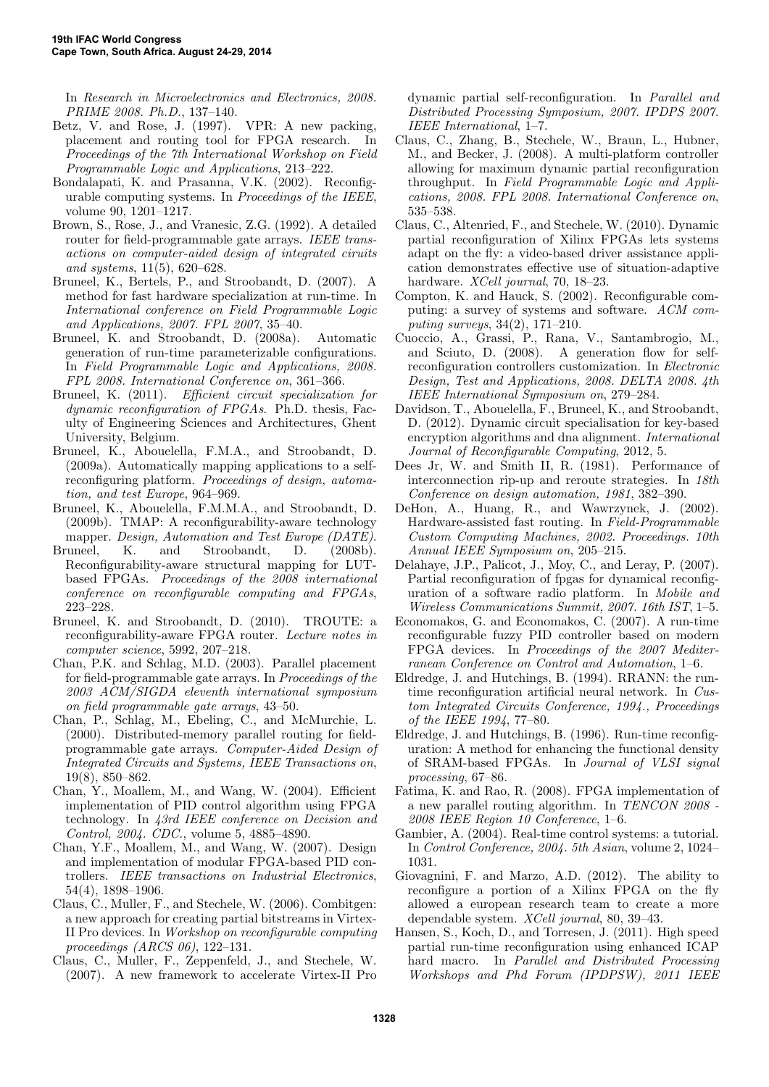In Research in Microelectronics and Electronics, 2008. PRIME 2008. Ph.D., 137–140.

- Betz, V. and Rose, J. (1997). VPR: A new packing, placement and routing tool for FPGA research. In Proceedings of the 7th International Workshop on Field Programmable Logic and Applications, 213–222.
- Bondalapati, K. and Prasanna, V.K. (2002). Reconfigurable computing systems. In Proceedings of the IEEE, volume 90, 1201–1217.
- Brown, S., Rose, J., and Vranesic, Z.G. (1992). A detailed router for field-programmable gate arrays. IEEE transactions on computer-aided design of integrated ciruits and systems, 11(5), 620–628.
- Bruneel, K., Bertels, P., and Stroobandt, D. (2007). A method for fast hardware specialization at run-time. In International conference on Field Programmable Logic and Applications, 2007. FPL 2007, 35–40.
- Bruneel, K. and Stroobandt, D. (2008a). Automatic generation of run-time parameterizable configurations. In Field Programmable Logic and Applications, 2008. FPL 2008. International Conference on, 361–366.
- Bruneel, K. (2011). Efficient circuit specialization for dynamic reconfiguration of FPGAs. Ph.D. thesis, Faculty of Engineering Sciences and Architectures, Ghent University, Belgium.
- Bruneel, K., Abouelella, F.M.A., and Stroobandt, D. (2009a). Automatically mapping applications to a selfreconfiguring platform. Proceedings of design, automation, and test Europe, 964–969.
- Bruneel, K., Abouelella, F.M.M.A., and Stroobandt, D. (2009b). TMAP: A reconfigurability-aware technology mapper. Design, Automation and Test Europe (DATE).
- Bruneel, K. and Stroobandt, D. (2008b). Reconfigurability-aware structural mapping for LUTbased FPGAs. Proceedings of the 2008 international conference on reconfigurable computing and FPGAs, 223–228.
- Bruneel, K. and Stroobandt, D. (2010). TROUTE: a reconfigurability-aware FPGA router. Lecture notes in computer science, 5992, 207–218.
- Chan, P.K. and Schlag, M.D. (2003). Parallel placement for field-programmable gate arrays. In Proceedings of the 2003 ACM/SIGDA eleventh international symposium on field programmable gate arrays, 43–50.
- Chan, P., Schlag, M., Ebeling, C., and McMurchie, L. (2000). Distributed-memory parallel routing for fieldprogrammable gate arrays. Computer-Aided Design of Integrated Circuits and Systems, IEEE Transactions on, 19(8), 850–862.
- Chan, Y., Moallem, M., and Wang, W. (2004). Efficient implementation of PID control algorithm using FPGA technology. In 43rd IEEE conference on Decision and Control, 2004. CDC., volume 5, 4885–4890.
- Chan, Y.F., Moallem, M., and Wang, W. (2007). Design and implementation of modular FPGA-based PID controllers. IEEE transactions on Industrial Electronics, 54(4), 1898–1906.
- Claus, C., Muller, F., and Stechele, W. (2006). Combitgen: a new approach for creating partial bitstreams in Virtex-II Pro devices. In Workshop on reconfigurable computing proceedings (ARCS 06), 122–131.
- Claus, C., Muller, F., Zeppenfeld, J., and Stechele, W. (2007). A new framework to accelerate Virtex-II Pro

dynamic partial self-reconfiguration. In Parallel and Distributed Processing Symposium, 2007. IPDPS 2007. IEEE International, 1–7.

- Claus, C., Zhang, B., Stechele, W., Braun, L., Hubner, M., and Becker, J. (2008). A multi-platform controller allowing for maximum dynamic partial reconfiguration throughput. In Field Programmable Logic and Applications, 2008. FPL 2008. International Conference on, 535–538.
- Claus, C., Altenried, F., and Stechele, W. (2010). Dynamic partial reconfiguration of Xilinx FPGAs lets systems adapt on the fly: a video-based driver assistance application demonstrates effective use of situation-adaptive hardware. *XCell journal*, 70, 18–23.
- Compton, K. and Hauck, S. (2002). Reconfigurable computing: a survey of systems and software. ACM computing surveys, 34(2), 171–210.
- Cuoccio, A., Grassi, P., Rana, V., Santambrogio, M., and Sciuto, D. (2008). A generation flow for selfreconfiguration controllers customization. In Electronic Design, Test and Applications, 2008. DELTA 2008. 4th IEEE International Symposium on, 279–284.
- Davidson, T., Abouelella, F., Bruneel, K., and Stroobandt, D. (2012). Dynamic circuit specialisation for key-based encryption algorithms and dna alignment. International Journal of Reconfigurable Computing, 2012, 5.
- Dees Jr, W. and Smith II, R. (1981). Performance of interconnection rip-up and reroute strategies. In 18th Conference on design automation, 1981, 382–390.
- DeHon, A., Huang, R., and Wawrzynek, J. (2002). Hardware-assisted fast routing. In Field-Programmable Custom Computing Machines, 2002. Proceedings. 10th Annual IEEE Symposium on, 205–215.
- Delahaye, J.P., Palicot, J., Moy, C., and Leray, P. (2007). Partial reconfiguration of fpgas for dynamical reconfiguration of a software radio platform. In Mobile and Wireless Communications Summit, 2007. 16th IST, 1–5.
- Economakos, G. and Economakos, C. (2007). A run-time reconfigurable fuzzy PID controller based on modern FPGA devices. In Proceedings of the 2007 Mediterranean Conference on Control and Automation, 1–6.
- Eldredge, J. and Hutchings, B. (1994). RRANN: the runtime reconfiguration artificial neural network. In Custom Integrated Circuits Conference, 1994., Proceedings of the IEEE 1994, 77–80.
- Eldredge, J. and Hutchings, B. (1996). Run-time reconfiguration: A method for enhancing the functional density of SRAM-based FPGAs. In Journal of VLSI signal processing, 67–86.
- Fatima, K. and Rao, R. (2008). FPGA implementation of a new parallel routing algorithm. In TENCON 2008 - 2008 IEEE Region 10 Conference, 1–6.
- Gambier, A. (2004). Real-time control systems: a tutorial. In Control Conference, 2004. 5th Asian, volume 2, 1024– 1031.
- Giovagnini, F. and Marzo, A.D. (2012). The ability to reconfigure a portion of a Xilinx FPGA on the fly allowed a european research team to create a more dependable system. XCell journal, 80, 39–43.
- Hansen, S., Koch, D., and Torresen, J. (2011). High speed partial run-time reconfiguration using enhanced ICAP hard macro. In Parallel and Distributed Processing Workshops and Phd Forum (IPDPSW), 2011 IEEE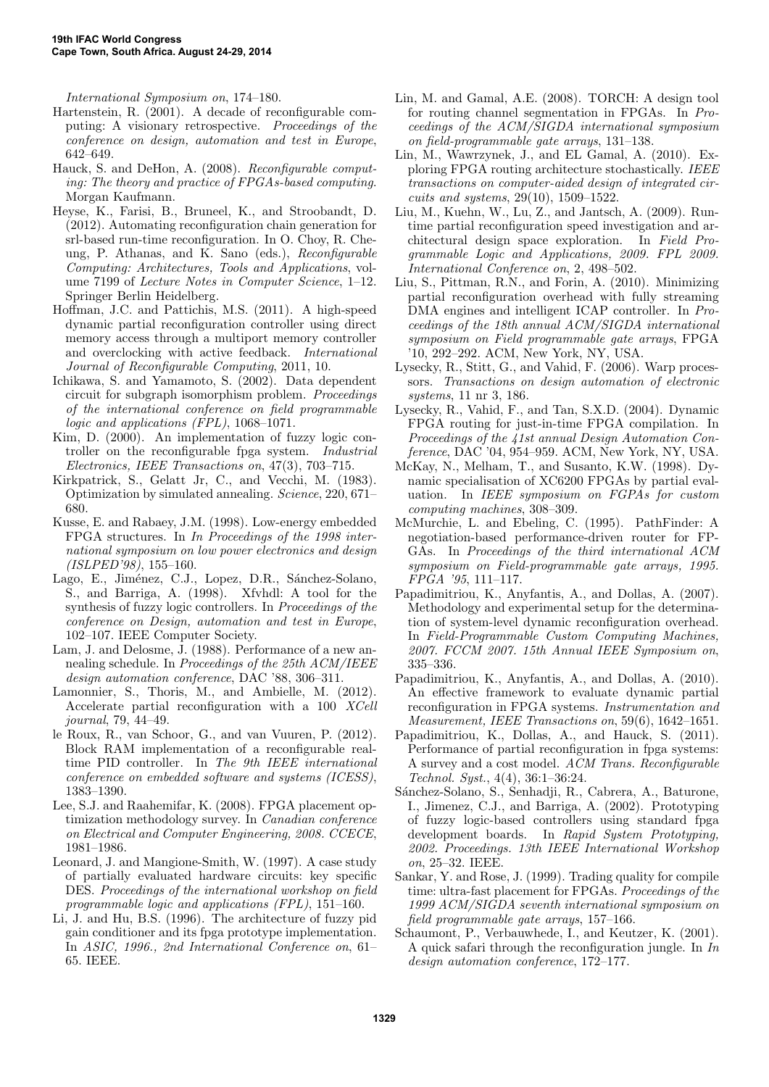International Symposium on, 174–180.

- Hartenstein, R. (2001). A decade of reconfigurable computing: A visionary retrospective. Proceedings of the conference on design, automation and test in Europe, 642–649.
- Hauck, S. and DeHon, A. (2008). Reconfigurable computing: The theory and practice of FPGAs-based computing. Morgan Kaufmann.
- Heyse, K., Farisi, B., Bruneel, K., and Stroobandt, D. (2012). Automating reconfiguration chain generation for srl-based run-time reconfiguration. In O. Choy, R. Cheung, P. Athanas, and K. Sano (eds.), Reconfigurable Computing: Architectures, Tools and Applications, volume 7199 of Lecture Notes in Computer Science, 1–12. Springer Berlin Heidelberg.
- Hoffman, J.C. and Pattichis, M.S. (2011). A high-speed dynamic partial reconfiguration controller using direct memory access through a multiport memory controller and overclocking with active feedback. International Journal of Reconfigurable Computing, 2011, 10.
- Ichikawa, S. and Yamamoto, S. (2002). Data dependent circuit for subgraph isomorphism problem. Proceedings of the international conference on field programmable logic and applications (FPL), 1068–1071.
- Kim, D. (2000). An implementation of fuzzy logic controller on the reconfigurable fpga system. Industrial Electronics, IEEE Transactions on, 47(3), 703–715.
- Kirkpatrick, S., Gelatt Jr, C., and Vecchi, M. (1983). Optimization by simulated annealing. Science, 220, 671– 680.
- Kusse, E. and Rabaey, J.M. (1998). Low-energy embedded FPGA structures. In In Proceedings of the 1998 international symposium on low power electronics and design (ISLPED'98), 155–160.
- Lago, E., Jiménez, C.J., Lopez, D.R., Sánchez-Solano, S., and Barriga, A. (1998). Xfvhdl: A tool for the synthesis of fuzzy logic controllers. In Proceedings of the conference on Design, automation and test in Europe, 102–107. IEEE Computer Society.
- Lam, J. and Delosme, J. (1988). Performance of a new annealing schedule. In Proceedings of the 25th ACM/IEEE design automation conference, DAC '88, 306–311.
- Lamonnier, S., Thoris, M., and Ambielle, M. (2012). Accelerate partial reconfiguration with a 100 XCell journal, 79, 44–49.
- le Roux, R., van Schoor, G., and van Vuuren, P. (2012). Block RAM implementation of a reconfigurable realtime PID controller. In The 9th IEEE international conference on embedded software and systems (ICESS), 1383–1390.
- Lee, S.J. and Raahemifar, K. (2008). FPGA placement optimization methodology survey. In Canadian conference on Electrical and Computer Engineering, 2008. CCECE, 1981–1986.
- Leonard, J. and Mangione-Smith, W. (1997). A case study of partially evaluated hardware circuits: key specific DES. Proceedings of the international workshop on field programmable logic and applications (FPL), 151–160.
- Li, J. and Hu, B.S. (1996). The architecture of fuzzy pid gain conditioner and its fpga prototype implementation. In ASIC, 1996., 2nd International Conference on, 61– 65. IEEE.
- Lin, M. and Gamal, A.E. (2008). TORCH: A design tool for routing channel segmentation in FPGAs. In Proceedings of the ACM/SIGDA international symposium on field-programmable gate arrays, 131–138.
- Lin, M., Wawrzynek, J., and EL Gamal, A. (2010). Exploring FPGA routing architecture stochastically. IEEE transactions on computer-aided design of integrated circuits and systems, 29(10), 1509–1522.
- Liu, M., Kuehn, W., Lu, Z., and Jantsch, A. (2009). Runtime partial reconfiguration speed investigation and architectural design space exploration. In Field Programmable Logic and Applications, 2009. FPL 2009. International Conference on, 2, 498–502.
- Liu, S., Pittman, R.N., and Forin, A. (2010). Minimizing partial reconfiguration overhead with fully streaming DMA engines and intelligent ICAP controller. In Proceedings of the 18th annual ACM/SIGDA international symposium on Field programmable gate arrays, FPGA '10, 292–292. ACM, New York, NY, USA.
- Lysecky, R., Stitt, G., and Vahid, F. (2006). Warp processors. Transactions on design automation of electronic systems, 11 nr 3, 186.
- Lysecky, R., Vahid, F., and Tan, S.X.D. (2004). Dynamic FPGA routing for just-in-time FPGA compilation. In Proceedings of the 41st annual Design Automation Conference, DAC '04, 954–959. ACM, New York, NY, USA.
- McKay, N., Melham, T., and Susanto, K.W. (1998). Dynamic specialisation of XC6200 FPGAs by partial evaluation. In IEEE symposium on FGPAs for custom computing machines, 308–309.
- McMurchie, L. and Ebeling, C. (1995). PathFinder: A negotiation-based performance-driven router for FP-GAs. In Proceedings of the third international ACM symposium on Field-programmable gate arrays, 1995. FPGA '95, 111–117.
- Papadimitriou, K., Anyfantis, A., and Dollas, A. (2007). Methodology and experimental setup for the determination of system-level dynamic reconfiguration overhead. In Field-Programmable Custom Computing Machines, 2007. FCCM 2007. 15th Annual IEEE Symposium on, 335–336.
- Papadimitriou, K., Anyfantis, A., and Dollas, A. (2010). An effective framework to evaluate dynamic partial reconfiguration in FPGA systems. Instrumentation and Measurement, IEEE Transactions on, 59(6), 1642–1651.
- Papadimitriou, K., Dollas, A., and Hauck, S. (2011). Performance of partial reconfiguration in fpga systems: A survey and a cost model. ACM Trans. Reconfigurable Technol. Syst., 4(4), 36:1–36:24.
- Sánchez-Solano, S., Senhadji, R., Cabrera, A., Baturone, I., Jimenez, C.J., and Barriga, A. (2002). Prototyping of fuzzy logic-based controllers using standard fpga development boards. In Rapid System Prototyping, 2002. Proceedings. 13th IEEE International Workshop on, 25–32. IEEE.
- Sankar, Y. and Rose, J. (1999). Trading quality for compile time: ultra-fast placement for FPGAs. Proceedings of the 1999 ACM/SIGDA seventh international symposium on field programmable gate arrays, 157–166.
- Schaumont, P., Verbauwhede, I., and Keutzer, K. (2001). A quick safari through the reconfiguration jungle. In In design automation conference, 172–177.